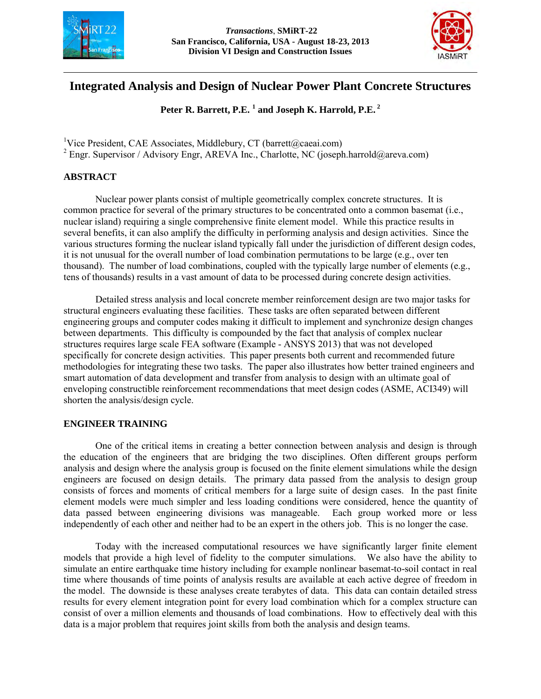



# **Integrated Analysis and Design of Nuclear Power Plant Concrete Structures**

**Peter R. Barrett, P.E. <sup>1</sup> and Joseph K. Harrold, P.E.<sup>2</sup>**

<sup>1</sup>Vice President, CAE Associates, Middlebury, CT (barrett@caeai.com)

<sup>2</sup> Engr. Supervisor / Advisory Engr, AREVA Inc., Charlotte, NC (joseph.harrold@areva.com)

# **ABSTRACT**

 Nuclear power plants consist of multiple geometrically complex concrete structures. It is common practice for several of the primary structures to be concentrated onto a common basemat (i.e., nuclear island) requiring a single comprehensive finite element model. While this practice results in several benefits, it can also amplify the difficulty in performing analysis and design activities. Since the various structures forming the nuclear island typically fall under the jurisdiction of different design codes, it is not unusual for the overall number of load combination permutations to be large (e.g., over ten thousand). The number of load combinations, coupled with the typically large number of elements (e.g., tens of thousands) results in a vast amount of data to be processed during concrete design activities.

 Detailed stress analysis and local concrete member reinforcement design are two major tasks for structural engineers evaluating these facilities. These tasks are often separated between different engineering groups and computer codes making it difficult to implement and synchronize design changes between departments. This difficulty is compounded by the fact that analysis of complex nuclear structures requires large scale FEA software (Example - ANSYS 2013) that was not developed specifically for concrete design activities. This paper presents both current and recommended future methodologies for integrating these two tasks. The paper also illustrates how better trained engineers and smart automation of data development and transfer from analysis to design with an ultimate goal of enveloping constructible reinforcement recommendations that meet design codes (ASME, ACI349) will shorten the analysis/design cycle.

#### **ENGINEER TRAINING**

One of the critical items in creating a better connection between analysis and design is through the education of the engineers that are bridging the two disciplines. Often different groups perform analysis and design where the analysis group is focused on the finite element simulations while the design engineers are focused on design details. The primary data passed from the analysis to design group consists of forces and moments of critical members for a large suite of design cases. In the past finite element models were much simpler and less loading conditions were considered, hence the quantity of data passed between engineering divisions was manageable. Each group worked more or less independently of each other and neither had to be an expert in the others job. This is no longer the case.

Today with the increased computational resources we have significantly larger finite element models that provide a high level of fidelity to the computer simulations. We also have the ability to simulate an entire earthquake time history including for example nonlinear basemat-to-soil contact in real time where thousands of time points of analysis results are available at each active degree of freedom in the model. The downside is these analyses create terabytes of data. This data can contain detailed stress results for every element integration point for every load combination which for a complex structure can consist of over a million elements and thousands of load combinations. How to effectively deal with this data is a major problem that requires joint skills from both the analysis and design teams.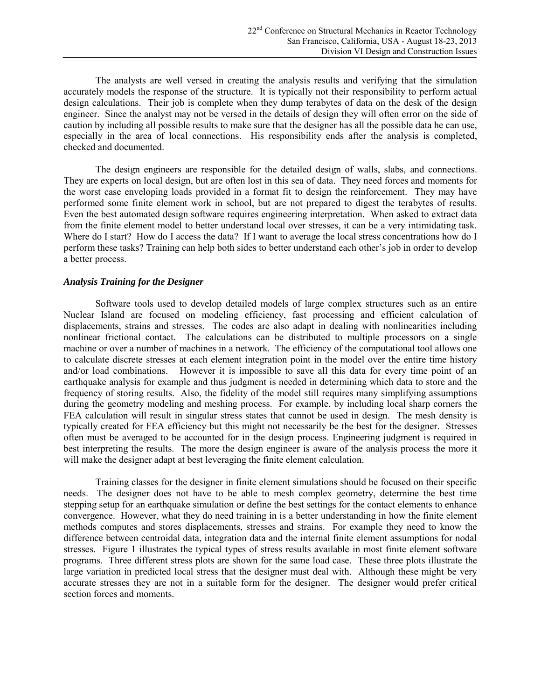The analysts are well versed in creating the analysis results and verifying that the simulation accurately models the response of the structure. It is typically not their responsibility to perform actual design calculations. Their job is complete when they dump terabytes of data on the desk of the design engineer. Since the analyst may not be versed in the details of design they will often error on the side of caution by including all possible results to make sure that the designer has all the possible data he can use, especially in the area of local connections. His responsibility ends after the analysis is completed, checked and documented.

The design engineers are responsible for the detailed design of walls, slabs, and connections. They are experts on local design, but are often lost in this sea of data. They need forces and moments for the worst case enveloping loads provided in a format fit to design the reinforcement. They may have performed some finite element work in school, but are not prepared to digest the terabytes of results. Even the best automated design software requires engineering interpretation. When asked to extract data from the finite element model to better understand local over stresses, it can be a very intimidating task. Where do I start? How do I access the data? If I want to average the local stress concentrations how do I perform these tasks? Training can help both sides to better understand each other's job in order to develop a better process.

#### *Analysis Training for the Designer*

Software tools used to develop detailed models of large complex structures such as an entire Nuclear Island are focused on modeling efficiency, fast processing and efficient calculation of displacements, strains and stresses. The codes are also adapt in dealing with nonlinearities including nonlinear frictional contact. The calculations can be distributed to multiple processors on a single machine or over a number of machines in a network. The efficiency of the computational tool allows one to calculate discrete stresses at each element integration point in the model over the entire time history and/or load combinations. However it is impossible to save all this data for every time point of an earthquake analysis for example and thus judgment is needed in determining which data to store and the frequency of storing results. Also, the fidelity of the model still requires many simplifying assumptions during the geometry modeling and meshing process. For example, by including local sharp corners the FEA calculation will result in singular stress states that cannot be used in design. The mesh density is typically created for FEA efficiency but this might not necessarily be the best for the designer. Stresses often must be averaged to be accounted for in the design process. Engineering judgment is required in best interpreting the results. The more the design engineer is aware of the analysis process the more it will make the designer adapt at best leveraging the finite element calculation.

Training classes for the designer in finite element simulations should be focused on their specific needs. The designer does not have to be able to mesh complex geometry, determine the best time stepping setup for an earthquake simulation or define the best settings for the contact elements to enhance convergence. However, what they do need training in is a better understanding in how the finite element methods computes and stores displacements, stresses and strains. For example they need to know the difference between centroidal data, integration data and the internal finite element assumptions for nodal stresses. Figure 1 illustrates the typical types of stress results available in most finite element software programs. Three different stress plots are shown for the same load case. These three plots illustrate the large variation in predicted local stress that the designer must deal with. Although these might be very accurate stresses they are not in a suitable form for the designer. The designer would prefer critical section forces and moments.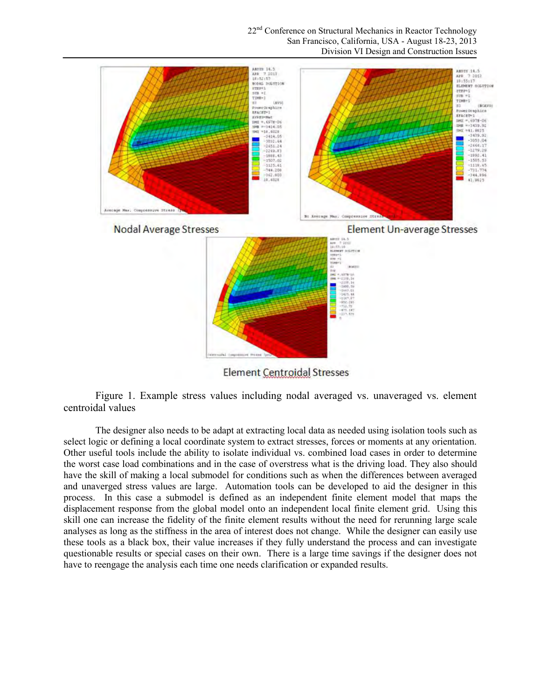22<sup>nd</sup> Conference on Structural Mechanics in Reactor Technology San Francisco, California, USA - August 18-23, 2013 Division VI Design and Construction Issues



Element Centroidal Stresses

Figure 1. Example stress values including nodal averaged vs. unaveraged vs. element centroidal values

The designer also needs to be adapt at extracting local data as needed using isolation tools such as select logic or defining a local coordinate system to extract stresses, forces or moments at any orientation. Other useful tools include the ability to isolate individual vs. combined load cases in order to determine the worst case load combinations and in the case of overstress what is the driving load. They also should have the skill of making a local submodel for conditions such as when the differences between averaged and unaverged stress values are large. Automation tools can be developed to aid the designer in this process. In this case a submodel is defined as an independent finite element model that maps the displacement response from the global model onto an independent local finite element grid. Using this skill one can increase the fidelity of the finite element results without the need for rerunning large scale analyses as long as the stiffness in the area of interest does not change. While the designer can easily use these tools as a black box, their value increases if they fully understand the process and can investigate questionable results or special cases on their own. There is a large time savings if the designer does not have to reengage the analysis each time one needs clarification or expanded results.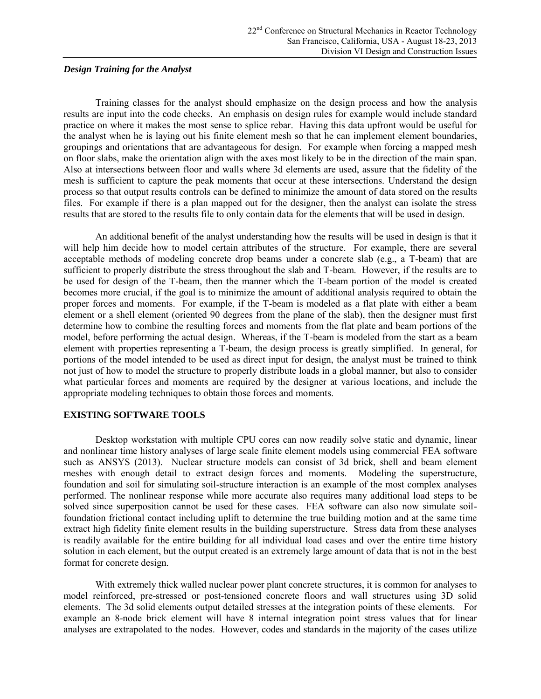#### *Design Training for the Analyst*

Training classes for the analyst should emphasize on the design process and how the analysis results are input into the code checks. An emphasis on design rules for example would include standard practice on where it makes the most sense to splice rebar. Having this data upfront would be useful for the analyst when he is laying out his finite element mesh so that he can implement element boundaries, groupings and orientations that are advantageous for design. For example when forcing a mapped mesh on floor slabs, make the orientation align with the axes most likely to be in the direction of the main span. Also at intersections between floor and walls where 3d elements are used, assure that the fidelity of the mesh is sufficient to capture the peak moments that occur at these intersections. Understand the design process so that output results controls can be defined to minimize the amount of data stored on the results files. For example if there is a plan mapped out for the designer, then the analyst can isolate the stress results that are stored to the results file to only contain data for the elements that will be used in design.

An additional benefit of the analyst understanding how the results will be used in design is that it will help him decide how to model certain attributes of the structure. For example, there are several acceptable methods of modeling concrete drop beams under a concrete slab (e.g., a T-beam) that are sufficient to properly distribute the stress throughout the slab and T-beam. However, if the results are to be used for design of the T-beam, then the manner which the T-beam portion of the model is created becomes more crucial, if the goal is to minimize the amount of additional analysis required to obtain the proper forces and moments. For example, if the T-beam is modeled as a flat plate with either a beam element or a shell element (oriented 90 degrees from the plane of the slab), then the designer must first determine how to combine the resulting forces and moments from the flat plate and beam portions of the model, before performing the actual design. Whereas, if the T-beam is modeled from the start as a beam element with properties representing a T-beam, the design process is greatly simplified. In general, for portions of the model intended to be used as direct input for design, the analyst must be trained to think not just of how to model the structure to properly distribute loads in a global manner, but also to consider what particular forces and moments are required by the designer at various locations, and include the appropriate modeling techniques to obtain those forces and moments.

#### **EXISTING SOFTWARE TOOLS**

Desktop workstation with multiple CPU cores can now readily solve static and dynamic, linear and nonlinear time history analyses of large scale finite element models using commercial FEA software such as ANSYS (2013). Nuclear structure models can consist of 3d brick, shell and beam element meshes with enough detail to extract design forces and moments. Modeling the superstructure, foundation and soil for simulating soil-structure interaction is an example of the most complex analyses performed. The nonlinear response while more accurate also requires many additional load steps to be solved since superposition cannot be used for these cases. FEA software can also now simulate soilfoundation frictional contact including uplift to determine the true building motion and at the same time extract high fidelity finite element results in the building superstructure. Stress data from these analyses is readily available for the entire building for all individual load cases and over the entire time history solution in each element, but the output created is an extremely large amount of data that is not in the best format for concrete design.

With extremely thick walled nuclear power plant concrete structures, it is common for analyses to model reinforced, pre-stressed or post-tensioned concrete floors and wall structures using 3D solid elements. The 3d solid elements output detailed stresses at the integration points of these elements. For example an 8-node brick element will have 8 internal integration point stress values that for linear analyses are extrapolated to the nodes. However, codes and standards in the majority of the cases utilize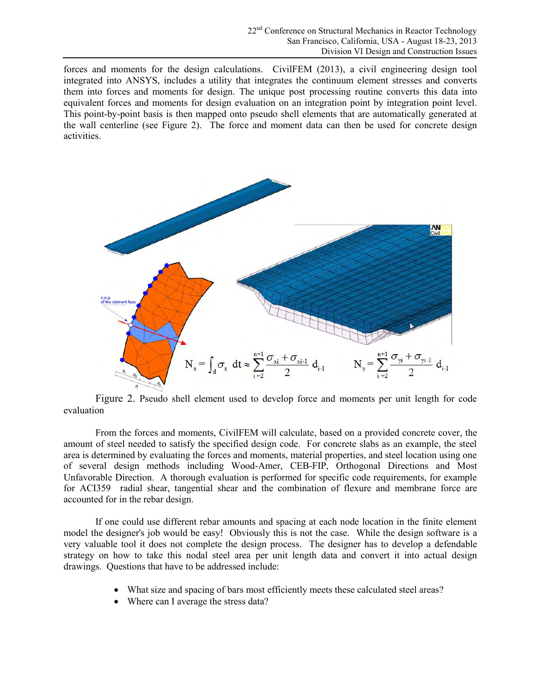forces and moments for the design calculations. CivilFEM (2013), a civil engineering design tool integrated into ANSYS, includes a utility that integrates the continuum element stresses and converts them into forces and moments for design. The unique post processing routine converts this data into equivalent forces and moments for design evaluation on an integration point by integration point level. This point-by-point basis is then mapped onto pseudo shell elements that are automatically generated at the wall centerline (see Figure 2). The force and moment data can then be used for concrete design activities.



Figure 2. Pseudo shell element used to develop force and moments per unit length for code evaluation

From the forces and moments, CivilFEM will calculate, based on a provided concrete cover, the amount of steel needed to satisfy the specified design code. For concrete slabs as an example, the steel area is determined by evaluating the forces and moments, material properties, and steel location using one of several design methods including Wood-Amer, CEB-FIP, Orthogonal Directions and Most Unfavorable Direction. A thorough evaluation is performed for specific code requirements, for example for ACI359 radial shear, tangential shear and the combination of flexure and membrane force are accounted for in the rebar design.

If one could use different rebar amounts and spacing at each node location in the finite element model the designer's job would be easy! Obviously this is not the case. While the design software is a very valuable tool it does not complete the design process. The designer has to develop a defendable strategy on how to take this nodal steel area per unit length data and convert it into actual design drawings. Questions that have to be addressed include:

- What size and spacing of bars most efficiently meets these calculated steel areas?
- Where can I average the stress data?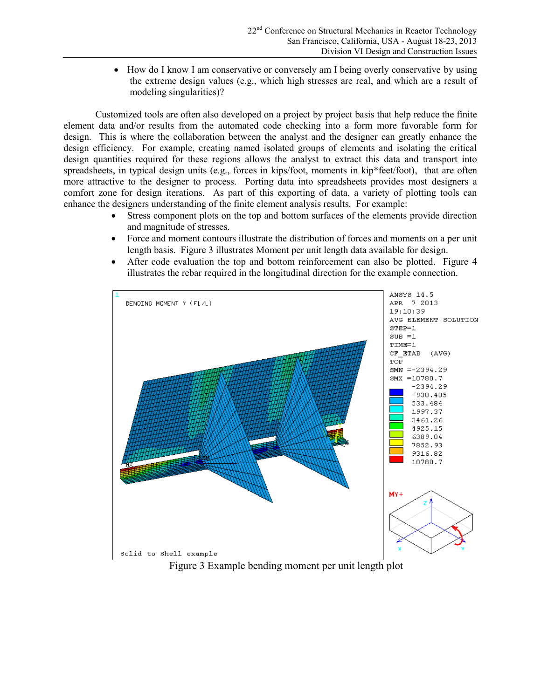• How do I know I am conservative or conversely am I being overly conservative by using the extreme design values (e.g., which high stresses are real, and which are a result of modeling singularities)?

Customized tools are often also developed on a project by project basis that help reduce the finite element data and/or results from the automated code checking into a form more favorable form for design. This is where the collaboration between the analyst and the designer can greatly enhance the design efficiency. For example, creating named isolated groups of elements and isolating the critical design quantities required for these regions allows the analyst to extract this data and transport into spreadsheets, in typical design units (e.g., forces in kips/foot, moments in kip\*feet/foot), that are often more attractive to the designer to process. Porting data into spreadsheets provides most designers a comfort zone for design iterations. As part of this exporting of data, a variety of plotting tools can enhance the designers understanding of the finite element analysis results. For example:

- Stress component plots on the top and bottom surfaces of the elements provide direction and magnitude of stresses.
- Force and moment contours illustrate the distribution of forces and moments on a per unit length basis. Figure 3 illustrates Moment per unit length data available for design.
- After code evaluation the top and bottom reinforcement can also be plotted. Figure 4 illustrates the rebar required in the longitudinal direction for the example connection.

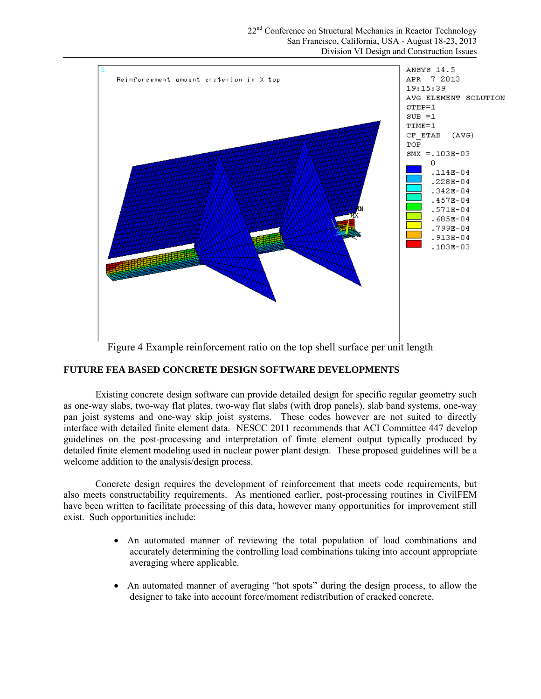

Figure 4 Example reinforcement ratio on the top shell surface per unit length

# **FUTURE FEA BASED CONCRETE DESIGN SOFTWARE DEVELOPMENTS**

Existing concrete design software can provide detailed design for specific regular geometry such as one-way slabs, two-way flat plates, two-way flat slabs (with drop panels), slab band systems, one-way pan joist systems and one-way skip joist systems. These codes however are not suited to directly interface with detailed finite element data. NESCC 2011 recommends that ACI Committee 447 develop guidelines on the post-processing and interpretation of finite element output typically produced by detailed finite element modeling used in nuclear power plant design. These proposed guidelines will be a welcome addition to the analysis/design process.

Concrete design requires the development of reinforcement that meets code requirements, but also meets constructability requirements. As mentioned earlier, post-processing routines in CivilFEM have been written to facilitate processing of this data, however many opportunities for improvement still exist. Such opportunities include:

- An automated manner of reviewing the total population of load combinations and accurately determining the controlling load combinations taking into account appropriate averaging where applicable.
- An automated manner of averaging "hot spots" during the design process, to allow the designer to take into account force/moment redistribution of cracked concrete.